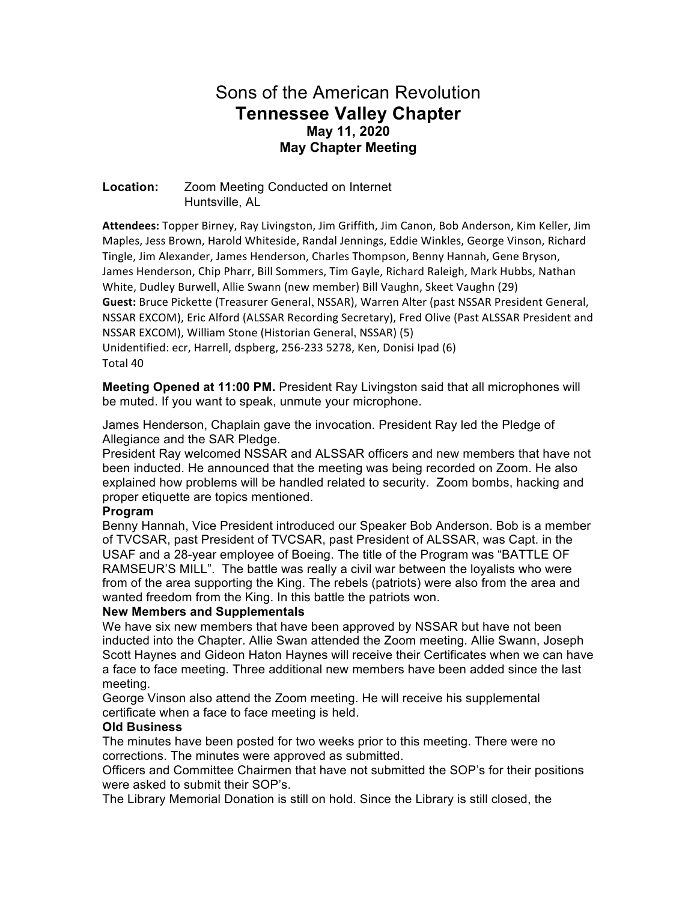# Sons of the American Revolution **Tennessee Valley Chapter May 11, 2020 May Chapter Meeting**

## **Location:** Zoom Meeting Conducted on Internet Huntsville, AL

Attendees: Topper Birney, Ray Livingston, Jim Griffith, Jim Canon, Bob Anderson, Kim Keller, Jim Maples, Jess Brown, Harold Whiteside, Randal Jennings, Eddie Winkles, George Vinson, Richard Tingle, Jim Alexander, James Henderson, Charles Thompson, Benny Hannah, Gene Bryson, James Henderson, Chip Pharr, Bill Sommers, Tim Gayle, Richard Raleigh, Mark Hubbs, Nathan White, Dudley Burwell, Allie Swann (new member) Bill Vaughn, Skeet Vaughn (29) Guest: Bruce Pickette (Treasurer General, NSSAR), Warren Alter (past NSSAR President General, NSSAR EXCOM), Eric Alford (ALSSAR Recording Secretary), Fred Olive (Past ALSSAR President and NSSAR EXCOM), William Stone (Historian General, NSSAR) (5) Unidentified: ecr, Harrell, dspberg, 256-233 5278, Ken, Donisi Ipad (6) Total 40

**Meeting Opened at 11:00 PM.** President Ray Livingston said that all microphones will be muted. If you want to speak, unmute your microphone.

James Henderson, Chaplain gave the invocation. President Ray led the Pledge of Allegiance and the SAR Pledge.

President Ray welcomed NSSAR and ALSSAR officers and new members that have not been inducted. He announced that the meeting was being recorded on Zoom. He also explained how problems will be handled related to security. Zoom bombs, hacking and proper etiquette are topics mentioned.

#### **Program**

Benny Hannah, Vice President introduced our Speaker Bob Anderson. Bob is a member of TVCSAR, past President of TVCSAR, past President of ALSSAR, was Capt. in the USAF and a 28-year employee of Boeing. The title of the Program was "BATTLE OF RAMSEUR'S MILL". The battle was really a civil war between the loyalists who were from of the area supporting the King. The rebels (patriots) were also from the area and wanted freedom from the King. In this battle the patriots won.

## **New Members and Supplementals**

We have six new members that have been approved by NSSAR but have not been inducted into the Chapter. Allie Swan attended the Zoom meeting. Allie Swann, Joseph Scott Haynes and Gideon Haton Haynes will receive their Certificates when we can have a face to face meeting. Three additional new members have been added since the last meeting.

George Vinson also attend the Zoom meeting. He will receive his supplemental certificate when a face to face meeting is held.

## **Old Business**

The minutes have been posted for two weeks prior to this meeting. There were no corrections. The minutes were approved as submitted.

Officers and Committee Chairmen that have not submitted the SOP's for their positions were asked to submit their SOP's.

The Library Memorial Donation is still on hold. Since the Library is still closed, the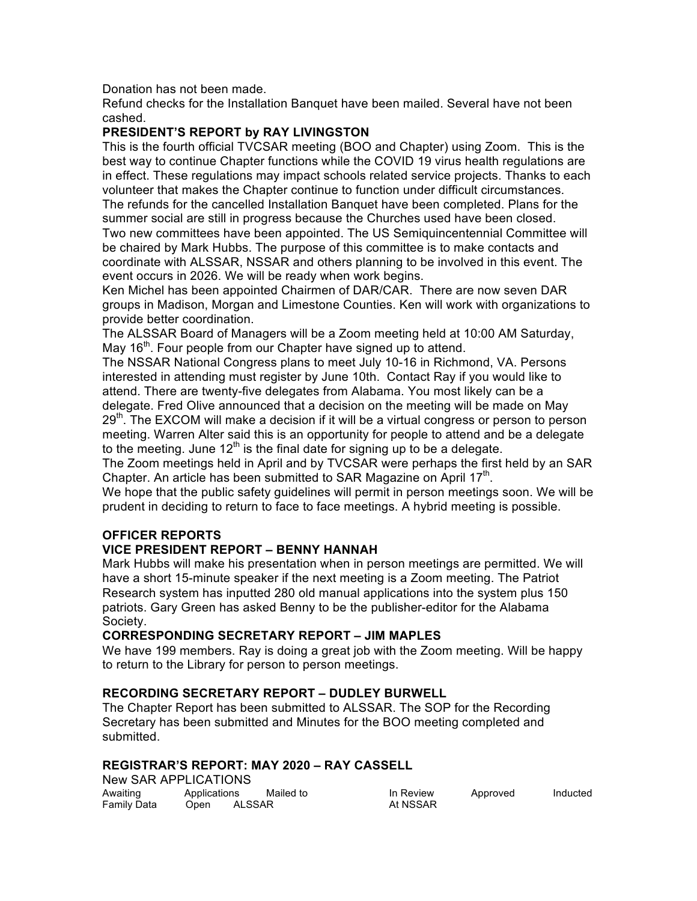Donation has not been made.

Refund checks for the Installation Banquet have been mailed. Several have not been cashed.

## **PRESIDENT'S REPORT by RAY LIVINGSTON**

This is the fourth official TVCSAR meeting (BOO and Chapter) using Zoom. This is the best way to continue Chapter functions while the COVID 19 virus health regulations are in effect. These regulations may impact schools related service projects. Thanks to each volunteer that makes the Chapter continue to function under difficult circumstances. The refunds for the cancelled Installation Banquet have been completed. Plans for the summer social are still in progress because the Churches used have been closed. Two new committees have been appointed. The US Semiquincentennial Committee will be chaired by Mark Hubbs. The purpose of this committee is to make contacts and coordinate with ALSSAR, NSSAR and others planning to be involved in this event. The event occurs in 2026. We will be ready when work begins.

Ken Michel has been appointed Chairmen of DAR/CAR. There are now seven DAR groups in Madison, Morgan and Limestone Counties. Ken will work with organizations to provide better coordination.

The ALSSAR Board of Managers will be a Zoom meeting held at 10:00 AM Saturday, May  $16<sup>th</sup>$ . Four people from our Chapter have signed up to attend.

The NSSAR National Congress plans to meet July 10-16 in Richmond, VA. Persons interested in attending must register by June 10th. Contact Ray if you would like to attend. There are twenty-five delegates from Alabama. You most likely can be a delegate. Fred Olive announced that a decision on the meeting will be made on May  $29<sup>th</sup>$ . The EXCOM will make a decision if it will be a virtual congress or person to person meeting. Warren Alter said this is an opportunity for people to attend and be a delegate to the meeting. June  $12<sup>th</sup>$  is the final date for signing up to be a delegate.

The Zoom meetings held in April and by TVCSAR were perhaps the first held by an SAR Chapter. An article has been submitted to SAR Magazine on April  $17<sup>th</sup>$ .

We hope that the public safety guidelines will permit in person meetings soon. We will be prudent in deciding to return to face to face meetings. A hybrid meeting is possible.

# **OFFICER REPORTS**

## **VICE PRESIDENT REPORT – BENNY HANNAH**

Mark Hubbs will make his presentation when in person meetings are permitted. We will have a short 15-minute speaker if the next meeting is a Zoom meeting. The Patriot Research system has inputted 280 old manual applications into the system plus 150 patriots. Gary Green has asked Benny to be the publisher-editor for the Alabama Society.

## **CORRESPONDING SECRETARY REPORT – JIM MAPLES**

We have 199 members. Ray is doing a great job with the Zoom meeting. Will be happy to return to the Library for person to person meetings.

## **RECORDING SECRETARY REPORT – DUDLEY BURWELL**

The Chapter Report has been submitted to ALSSAR. The SOP for the Recording Secretary has been submitted and Minutes for the BOO meeting completed and submitted.

# **REGISTRAR'S REPORT: MAY 2020 – RAY CASSELL**

New SAR APPLICATIONS

| Awaiting    | Applications | Mailed to | In Review | Approved | Inducted |
|-------------|--------------|-----------|-----------|----------|----------|
| Family Data | Open         | ALSSAR    | At NSSAR  |          |          |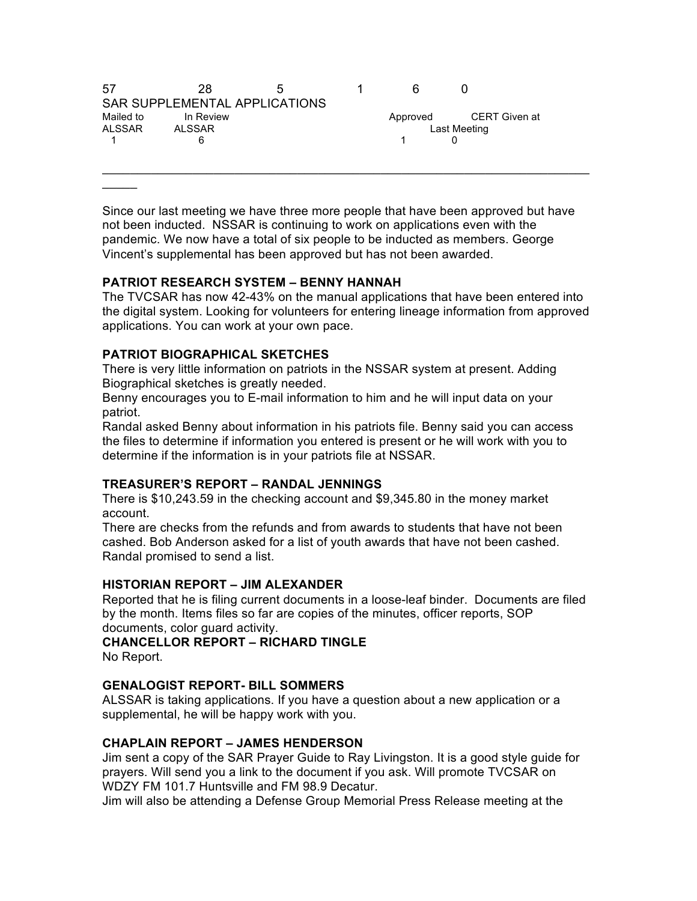| 57        | 28        | $\mathbf{r}$                  | ĥ            |               |  |
|-----------|-----------|-------------------------------|--------------|---------------|--|
|           |           | SAR SUPPLEMENTAL APPLICATIONS |              |               |  |
| Mailed to | In Review |                               | Approved     | CERT Given at |  |
| ALSSAR    | ALSSAR    |                               | Last Meeting |               |  |
|           | 6         |                               |              |               |  |
|           |           |                               |              |               |  |

Since our last meeting we have three more people that have been approved but have not been inducted. NSSAR is continuing to work on applications even with the pandemic. We now have a total of six people to be inducted as members. George Vincent's supplemental has been approved but has not been awarded.

\_\_\_\_\_\_\_\_\_\_\_\_\_\_\_\_\_\_\_\_\_\_\_\_\_\_\_\_\_\_\_\_\_\_\_\_\_\_\_\_\_\_\_\_\_\_\_\_\_\_\_\_\_\_\_\_\_\_\_\_\_\_\_\_\_\_\_\_\_\_

#### **PATRIOT RESEARCH SYSTEM – BENNY HANNAH**

The TVCSAR has now 42-43% on the manual applications that have been entered into the digital system. Looking for volunteers for entering lineage information from approved applications. You can work at your own pace.

#### **PATRIOT BIOGRAPHICAL SKETCHES**

 $\mathcal{L}$ 

There is very little information on patriots in the NSSAR system at present. Adding Biographical sketches is greatly needed.

Benny encourages you to E-mail information to him and he will input data on your patriot.

Randal asked Benny about information in his patriots file. Benny said you can access the files to determine if information you entered is present or he will work with you to determine if the information is in your patriots file at NSSAR.

#### **TREASURER'S REPORT – RANDAL JENNINGS**

There is \$10,243.59 in the checking account and \$9,345.80 in the money market account.

There are checks from the refunds and from awards to students that have not been cashed. Bob Anderson asked for a list of youth awards that have not been cashed. Randal promised to send a list.

#### **HISTORIAN REPORT – JIM ALEXANDER**

Reported that he is filing current documents in a loose-leaf binder. Documents are filed by the month. Items files so far are copies of the minutes, officer reports, SOP documents, color guard activity.

**CHANCELLOR REPORT – RICHARD TINGLE** No Report.

#### **GENALOGIST REPORT- BILL SOMMERS**

ALSSAR is taking applications. If you have a question about a new application or a supplemental, he will be happy work with you.

#### **CHAPLAIN REPORT – JAMES HENDERSON**

Jim sent a copy of the SAR Prayer Guide to Ray Livingston. It is a good style guide for prayers. Will send you a link to the document if you ask. Will promote TVCSAR on WDZY FM 101.7 Huntsville and FM 98.9 Decatur.

Jim will also be attending a Defense Group Memorial Press Release meeting at the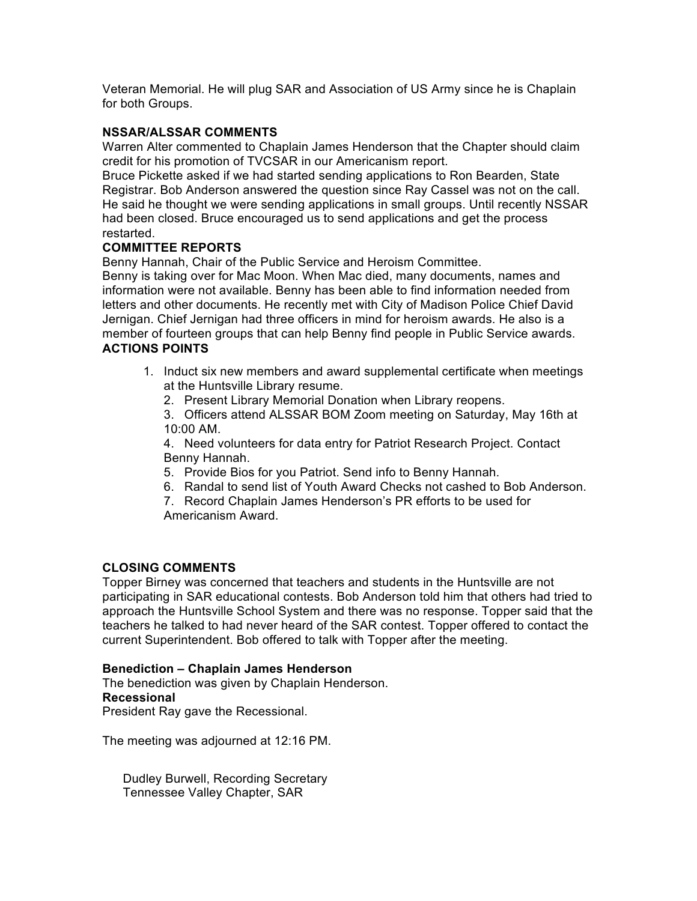Veteran Memorial. He will plug SAR and Association of US Army since he is Chaplain for both Groups.

## **NSSAR/ALSSAR COMMENTS**

Warren Alter commented to Chaplain James Henderson that the Chapter should claim credit for his promotion of TVCSAR in our Americanism report.

Bruce Pickette asked if we had started sending applications to Ron Bearden, State Registrar. Bob Anderson answered the question since Ray Cassel was not on the call. He said he thought we were sending applications in small groups. Until recently NSSAR had been closed. Bruce encouraged us to send applications and get the process restarted.

## **COMMITTEE REPORTS**

Benny Hannah, Chair of the Public Service and Heroism Committee.

Benny is taking over for Mac Moon. When Mac died, many documents, names and information were not available. Benny has been able to find information needed from letters and other documents. He recently met with City of Madison Police Chief David Jernigan. Chief Jernigan had three officers in mind for heroism awards. He also is a member of fourteen groups that can help Benny find people in Public Service awards. **ACTIONS POINTS**

- 1. Induct six new members and award supplemental certificate when meetings at the Huntsville Library resume.
	- 2. Present Library Memorial Donation when Library reopens.

3. Officers attend ALSSAR BOM Zoom meeting on Saturday, May 16th at 10:00 AM.

4. Need volunteers for data entry for Patriot Research Project. Contact Benny Hannah.

- 5. Provide Bios for you Patriot. Send info to Benny Hannah.
- 6. Randal to send list of Youth Award Checks not cashed to Bob Anderson.
- 7. Record Chaplain James Henderson's PR efforts to be used for Americanism Award.

## **CLOSING COMMENTS**

Topper Birney was concerned that teachers and students in the Huntsville are not participating in SAR educational contests. Bob Anderson told him that others had tried to approach the Huntsville School System and there was no response. Topper said that the teachers he talked to had never heard of the SAR contest. Topper offered to contact the current Superintendent. Bob offered to talk with Topper after the meeting.

#### **Benediction – Chaplain James Henderson**

The benediction was given by Chaplain Henderson. **Recessional**  President Ray gave the Recessional.

The meeting was adjourned at 12:16 PM.

Dudley Burwell, Recording Secretary Tennessee Valley Chapter, SAR